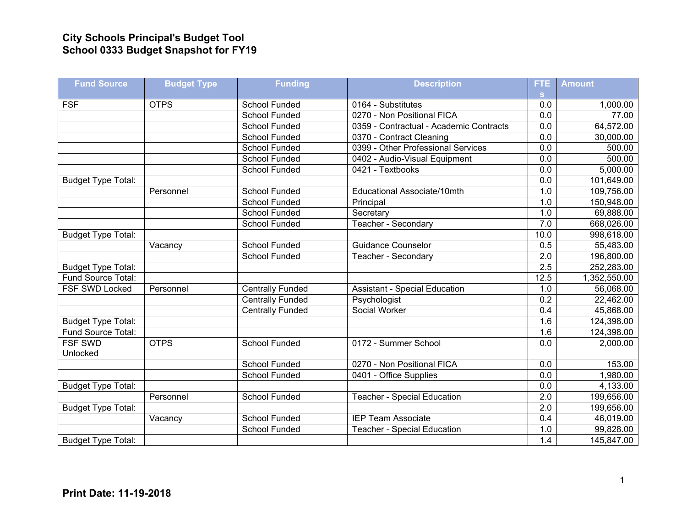## **City Schools Principal's Budget Tool School 0333 Budget Snapshot for FY19**

| <b>Fund Source</b>         | <b>Budget Type</b> | <b>Funding</b>          | <b>Description</b>                      | FTE              | <b>Amount</b> |
|----------------------------|--------------------|-------------------------|-----------------------------------------|------------------|---------------|
|                            |                    |                         |                                         | s.               |               |
| <b>FSF</b>                 | <b>OTPS</b>        | School Funded           | 0164 - Substitutes                      | 0.0              | 1,000.00      |
|                            |                    | <b>School Funded</b>    | 0270 - Non Positional FICA              | 0.0              | 77.00         |
|                            |                    | <b>School Funded</b>    | 0359 - Contractual - Academic Contracts | 0.0              | 64,572.00     |
|                            |                    | School Funded           | 0370 - Contract Cleaning                | 0.0              | 30,000.00     |
|                            |                    | School Funded           | 0399 - Other Professional Services      | 0.0              | 500.00        |
|                            |                    | School Funded           | 0402 - Audio-Visual Equipment           | 0.0              | 500.00        |
|                            |                    | <b>School Funded</b>    | 0421 - Textbooks                        | 0.0              | 5,000.00      |
| <b>Budget Type Total:</b>  |                    |                         |                                         | 0.0              | 101,649.00    |
|                            | Personnel          | <b>School Funded</b>    | Educational Associate/10mth             | 1.0              | 109,756.00    |
|                            |                    | School Funded           | Principal                               | 1.0              | 150,948.00    |
|                            |                    | School Funded           | Secretary                               | 1.0              | 69,888.00     |
|                            |                    | <b>School Funded</b>    | Teacher - Secondary                     | 7.0              | 668,026.00    |
| <b>Budget Type Total:</b>  |                    |                         |                                         | 10.0             | 998,618.00    |
|                            | Vacancy            | School Funded           | <b>Guidance Counselor</b>               | 0.5              | 55,483.00     |
|                            |                    | <b>School Funded</b>    | Teacher - Secondary                     | 2.0              | 196,800.00    |
| <b>Budget Type Total:</b>  |                    |                         |                                         | 2.5              | 252,283.00    |
| Fund Source Total:         |                    |                         |                                         | 12.5             | 1,352,550.00  |
| FSF SWD Locked             | Personnel          | <b>Centrally Funded</b> | <b>Assistant - Special Education</b>    | 1.0              | 56,068.00     |
|                            |                    | <b>Centrally Funded</b> | Psychologist                            | 0.2              | 22,462.00     |
|                            |                    | <b>Centrally Funded</b> | Social Worker                           | $\overline{0.4}$ | 45,868.00     |
| <b>Budget Type Total:</b>  |                    |                         |                                         | 1.6              | 124,398.00    |
| Fund Source Total:         |                    |                         |                                         | 1.6              | 124,398.00    |
| <b>FSF SWD</b><br>Unlocked | <b>OTPS</b>        | School Funded           | 0172 - Summer School                    | $\overline{0.0}$ | 2,000.00      |
|                            |                    | <b>School Funded</b>    | 0270 - Non Positional FICA              | 0.0              | 153.00        |
|                            |                    | School Funded           | 0401 - Office Supplies                  | 0.0              | 1,980.00      |
| <b>Budget Type Total:</b>  |                    |                         |                                         | 0.0              | 4,133.00      |
|                            | Personnel          | <b>School Funded</b>    | <b>Teacher - Special Education</b>      | 2.0              | 199,656.00    |
| <b>Budget Type Total:</b>  |                    |                         |                                         | $\overline{2.0}$ | 199,656.00    |
|                            | Vacancy            | <b>School Funded</b>    | <b>IEP Team Associate</b>               | 0.4              | 46,019.00     |
|                            |                    | <b>School Funded</b>    | <b>Teacher - Special Education</b>      | 1.0              | 99,828.00     |
| <b>Budget Type Total:</b>  |                    |                         |                                         | 1.4              | 145,847.00    |